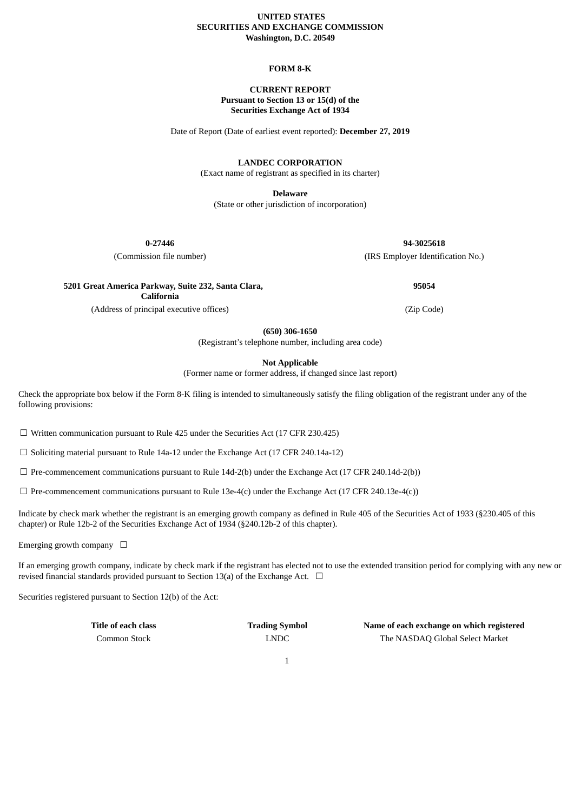### **UNITED STATES SECURITIES AND EXCHANGE COMMISSION Washington, D.C. 20549**

### **FORM 8-K**

## **CURRENT REPORT Pursuant to Section 13 or 15(d) of the Securities Exchange Act of 1934**

Date of Report (Date of earliest event reported): **December 27, 2019**

# **LANDEC CORPORATION**

(Exact name of registrant as specified in its charter)

**Delaware**

(State or other jurisdiction of incorporation)

**0-27446 94-3025618** (Commission file number) (IRS Employer Identification No.)

**5201 Great America Parkway, Suite 232, Santa Clara, California**

(Address of principal executive offices) (Zip Code)

**95054**

**(650) 306-1650**

(Registrant's telephone number, including area code)

**Not Applicable**

(Former name or former address, if changed since last report)

Check the appropriate box below if the Form 8-K filing is intended to simultaneously satisfy the filing obligation of the registrant under any of the following provisions:

☐ Written communication pursuant to Rule 425 under the Securities Act (17 CFR 230.425)

 $\Box$  Soliciting material pursuant to Rule 14a-12 under the Exchange Act (17 CFR 240.14a-12)

 $\Box$  Pre-commencement communications pursuant to Rule 14d-2(b) under the Exchange Act (17 CFR 240.14d-2(b))

 $\Box$  Pre-commencement communications pursuant to Rule 13e-4(c) under the Exchange Act (17 CFR 240.13e-4(c))

Indicate by check mark whether the registrant is an emerging growth company as defined in Rule 405 of the Securities Act of 1933 (§230.405 of this chapter) or Rule 12b-2 of the Securities Exchange Act of 1934 (§240.12b-2 of this chapter).

Emerging growth company  $\Box$ 

If an emerging growth company, indicate by check mark if the registrant has elected not to use the extended transition period for complying with any new or revised financial standards provided pursuant to Section 13(a) of the Exchange Act.  $\Box$ 

Securities registered pursuant to Section 12(b) of the Act:

| Title of each class | <b>Trading Symbol</b> | Name of each exchange on which registered |
|---------------------|-----------------------|-------------------------------------------|
| Common Stock        | LNDC                  | The NASDAQ Global Select Market           |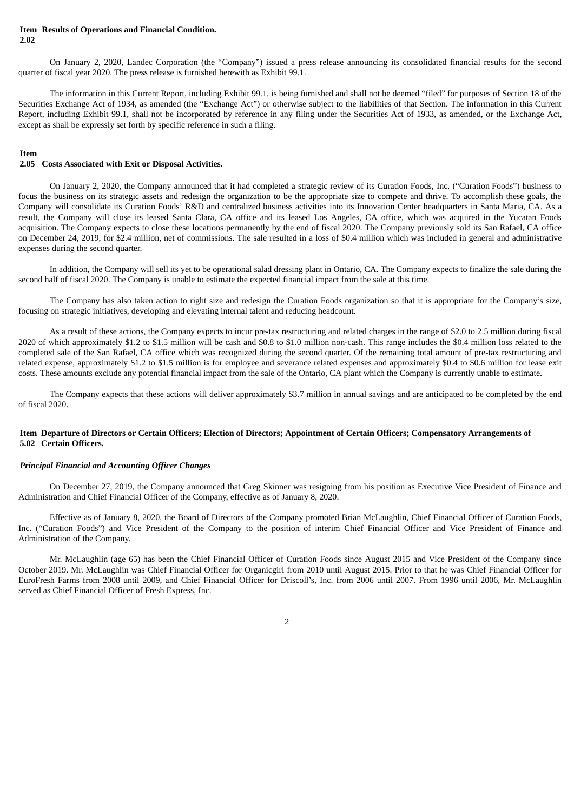#### **Item Results of Operations and Financial Condition. 2.02**

On January 2, 2020, Landec Corporation (the "Company") issued a press release announcing its consolidated financial results for the second quarter of fiscal year 2020. The press release is furnished herewith as Exhibit 99.1.

The information in this Current Report, including Exhibit 99.1, is being furnished and shall not be deemed "filed" for purposes of Section 18 of the Securities Exchange Act of 1934, as amended (the "Exchange Act") or otherwise subject to the liabilities of that Section. The information in this Current Report, including Exhibit 99.1, shall not be incorporated by reference in any filing under the Securities Act of 1933, as amended, or the Exchange Act, except as shall be expressly set forth by specific reference in such a filing.

#### **Item**

### **2.05 Costs Associated with Exit or Disposal Activities.**

On January 2, 2020, the Company announced that it had completed a strategic review of its Curation Foods, Inc. ("Curation Foods") business to focus the business on its strategic assets and redesign the organization to be the appropriate size to compete and thrive. To accomplish these goals, the Company will consolidate its Curation Foods' R&D and centralized business activities into its Innovation Center headquarters in Santa Maria, CA. As a result, the Company will close its leased Santa Clara, CA office and its leased Los Angeles, CA office, which was acquired in the Yucatan Foods acquisition. The Company expects to close these locations permanently by the end of fiscal 2020. The Company previously sold its San Rafael, CA office on December 24, 2019, for \$2.4 million, net of commissions. The sale resulted in a loss of \$0.4 million which was included in general and administrative expenses during the second quarter.

In addition, the Company will sell its yet to be operational salad dressing plant in Ontario, CA. The Company expects to finalize the sale during the second half of fiscal 2020. The Company is unable to estimate the expected financial impact from the sale at this time.

The Company has also taken action to right size and redesign the Curation Foods organization so that it is appropriate for the Company's size, focusing on strategic initiatives, developing and elevating internal talent and reducing headcount.

As a result of these actions, the Company expects to incur pre-tax restructuring and related charges in the range of \$2.0 to 2.5 million during fiscal 2020 of which approximately \$1.2 to \$1.5 million will be cash and \$0.8 to \$1.0 million non-cash. This range includes the \$0.4 million loss related to the completed sale of the San Rafael, CA office which was recognized during the second quarter. Of the remaining total amount of pre-tax restructuring and related expense, approximately \$1.2 to \$1.5 million is for employee and severance related expenses and approximately \$0.4 to \$0.6 million for lease exit costs. These amounts exclude any potential financial impact from the sale of the Ontario, CA plant which the Company is currently unable to estimate.

The Company expects that these actions will deliver approximately \$3.7 million in annual savings and are anticipated to be completed by the end of fiscal 2020.

### Item Departure of Directors or Certain Officers; Election of Directors; Appointment of Certain Officers; Compensatory Arrangements of **5.02 Certain Officers.**

## *Principal Financial and Accounting Officer Changes*

On December 27, 2019, the Company announced that Greg Skinner was resigning from his position as Executive Vice President of Finance and Administration and Chief Financial Officer of the Company, effective as of January 8, 2020.

Effective as of January 8, 2020, the Board of Directors of the Company promoted Brian McLaughlin, Chief Financial Officer of Curation Foods, Inc. ("Curation Foods") and Vice President of the Company to the position of interim Chief Financial Officer and Vice President of Finance and Administration of the Company.

Mr. McLaughlin (age 65) has been the Chief Financial Officer of Curation Foods since August 2015 and Vice President of the Company since October 2019. Mr. McLaughlin was Chief Financial Officer for Organicgirl from 2010 until August 2015. Prior to that he was Chief Financial Officer for EuroFresh Farms from 2008 until 2009, and Chief Financial Officer for Driscoll's, Inc. from 2006 until 2007. From 1996 until 2006, Mr. McLaughlin served as Chief Financial Officer of Fresh Express, Inc.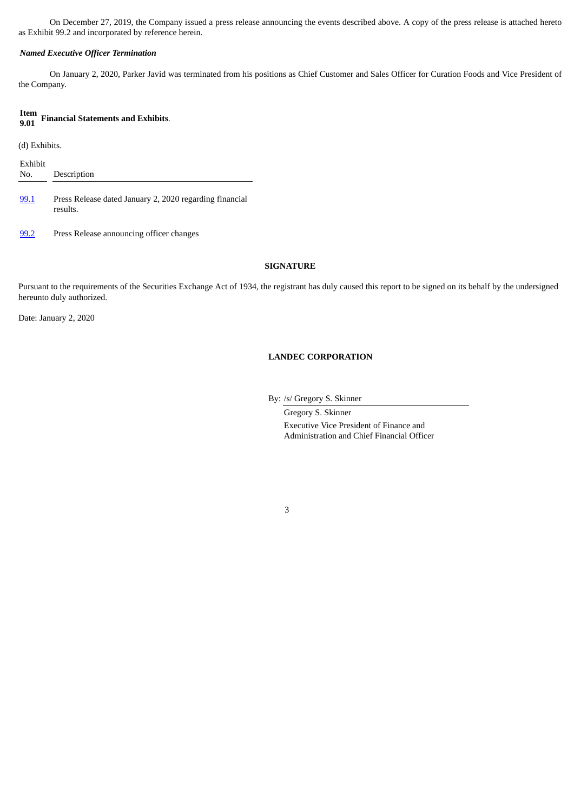On December 27, 2019, the Company issued a press release announcing the events described above. A copy of the press release is attached hereto as Exhibit 99.2 and incorporated by reference herein.

### *Named Executive Officer Termination*

On January 2, 2020, Parker Javid was terminated from his positions as Chief Customer and Sales Officer for Curation Foods and Vice President of the Company.

#### **Item 9.01 Financial Statements and Exhibits**.

(d) Exhibits.

| Exhibit<br>No. | Description                                                         |
|----------------|---------------------------------------------------------------------|
| 99.1           | Press Release dated January 2, 2020 regarding financial<br>results. |

[99.2](#page-19-0) Press Release announcing officer changes

# **SIGNATURE**

Pursuant to the requirements of the Securities Exchange Act of 1934, the registrant has duly caused this report to be signed on its behalf by the undersigned hereunto duly authorized.

Date: January 2, 2020

# **LANDEC CORPORATION**

By: /s/ Gregory S. Skinner

Gregory S. Skinner Executive Vice President of Finance and Administration and Chief Financial Officer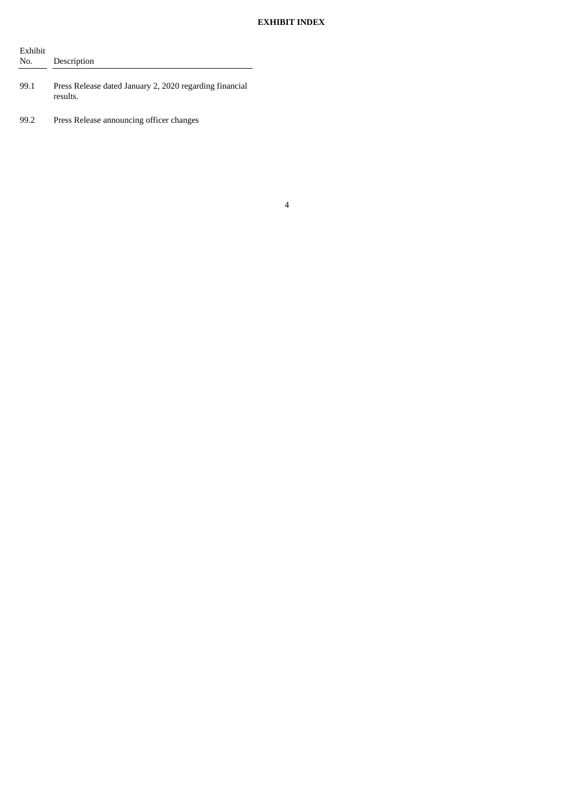# **EXHIBIT INDEX**

| Exhibit<br>No. | Description                                                         |
|----------------|---------------------------------------------------------------------|
| 99.1           | Press Release dated January 2, 2020 regarding financial<br>results. |

99.2 Press Release announcing officer changes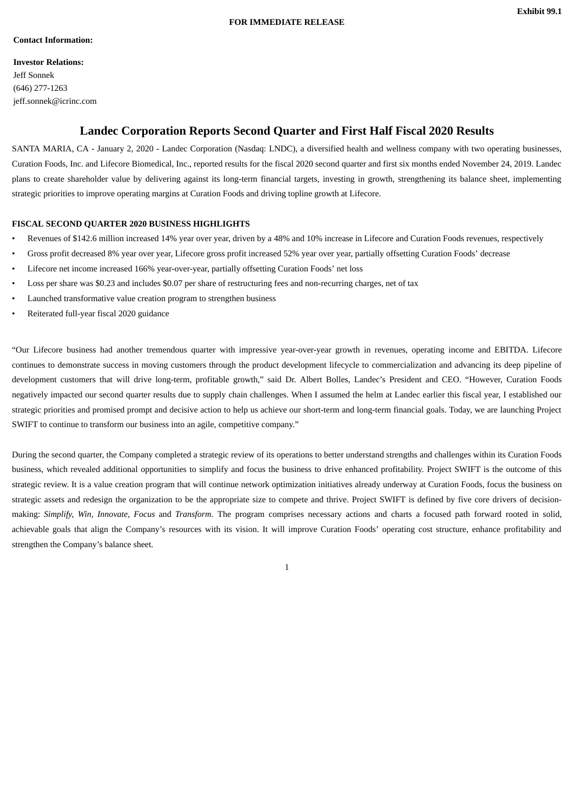## <span id="page-4-0"></span>**Contact Information:**

**Investor Relations:**

Jeff Sonnek (646) 277-1263 jeff.sonnek@icrinc.com

# **Landec Corporation Reports Second Quarter and First Half Fiscal 2020 Results**

SANTA MARIA, CA - January 2, 2020 - Landec Corporation (Nasdaq: LNDC), a diversified health and wellness company with two operating businesses, Curation Foods, Inc. and Lifecore Biomedical, Inc., reported results for the fiscal 2020 second quarter and first six months ended November 24, 2019. Landec plans to create shareholder value by delivering against its long-term financial targets, investing in growth, strengthening its balance sheet, implementing strategic priorities to improve operating margins at Curation Foods and driving topline growth at Lifecore.

# **FISCAL SECOND QUARTER 2020 BUSINESS HIGHLIGHTS**

- Revenues of \$142.6 million increased 14% year over year, driven by a 48% and 10% increase in Lifecore and Curation Foods revenues, respectively
- Gross profit decreased 8% year over year, Lifecore gross profit increased 52% year over year, partially offsetting Curation Foods' decrease
- Lifecore net income increased 166% year-over-year, partially offsetting Curation Foods' net loss
- Loss per share was \$0.23 and includes \$0.07 per share of restructuring fees and non-recurring charges, net of tax
- Launched transformative value creation program to strengthen business
- Reiterated full-year fiscal 2020 guidance

"Our Lifecore business had another tremendous quarter with impressive year-over-year growth in revenues, operating income and EBITDA. Lifecore continues to demonstrate success in moving customers through the product development lifecycle to commercialization and advancing its deep pipeline of development customers that will drive long-term, profitable growth," said Dr. Albert Bolles, Landec's President and CEO. "However, Curation Foods negatively impacted our second quarter results due to supply chain challenges. When I assumed the helm at Landec earlier this fiscal year, I established our strategic priorities and promised prompt and decisive action to help us achieve our short-term and long-term financial goals. Today, we are launching Project SWIFT to continue to transform our business into an agile, competitive company."

During the second quarter, the Company completed a strategic review of its operations to better understand strengths and challenges within its Curation Foods business, which revealed additional opportunities to simplify and focus the business to drive enhanced profitability. Project SWIFT is the outcome of this strategic review. It is a value creation program that will continue network optimization initiatives already underway at Curation Foods, focus the business on strategic assets and redesign the organization to be the appropriate size to compete and thrive. Project SWIFT is defined by five core drivers of decisionmaking: *Simplify, Win, Innovate, Focus* and *Transform*. The program comprises necessary actions and charts a focused path forward rooted in solid, achievable goals that align the Company's resources with its vision. It will improve Curation Foods' operating cost structure, enhance profitability and strengthen the Company's balance sheet.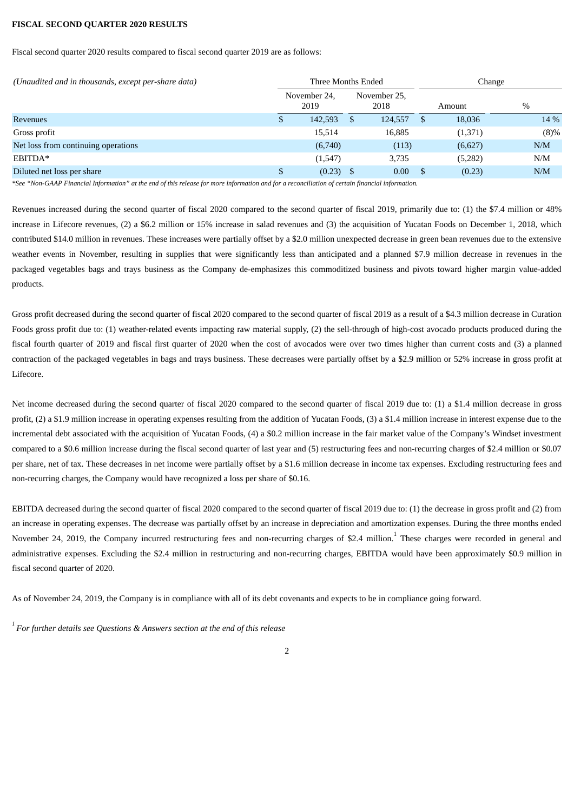## **FISCAL SECOND QUARTER 2020 RESULTS**

Fiscal second quarter 2020 results compared to fiscal second quarter 2019 are as follows:

| (Unaudited and in thousands, except per-share data) |    | Three Months Ended   |   |                      | Change |          |         |  |  |
|-----------------------------------------------------|----|----------------------|---|----------------------|--------|----------|---------|--|--|
|                                                     |    | November 24,<br>2019 |   | November 25,<br>2018 |        | Amount   | $\%$    |  |  |
| Revenues                                            | \$ | 142,593              | S | 124,557              | -S     | 18,036   | 14 %    |  |  |
| Gross profit                                        |    | 15,514               |   | 16,885               |        | (1, 371) | $(8)\%$ |  |  |
| Net loss from continuing operations                 |    | (6,740)              |   | (113)                |        | (6,627)  | N/M     |  |  |
| EBITDA*                                             |    | (1,547)              |   | 3,735                |        | (5,282)  | N/M     |  |  |
| Diluted net loss per share                          | \$ | $(0.23)$ \$          |   | 0.00                 | - \$   | (0.23)   | N/M     |  |  |

\*See "Non-GAAP Financial Information" at the end of this release for more information and for a reconciliation of certain financial information.

Revenues increased during the second quarter of fiscal 2020 compared to the second quarter of fiscal 2019, primarily due to: (1) the \$7.4 million or 48% increase in Lifecore revenues, (2) a \$6.2 million or 15% increase in salad revenues and (3) the acquisition of Yucatan Foods on December 1, 2018, which contributed \$14.0 million in revenues. These increases were partially offset by a \$2.0 million unexpected decrease in green bean revenues due to the extensive weather events in November, resulting in supplies that were significantly less than anticipated and a planned \$7.9 million decrease in revenues in the packaged vegetables bags and trays business as the Company de-emphasizes this commoditized business and pivots toward higher margin value-added products.

Gross profit decreased during the second quarter of fiscal 2020 compared to the second quarter of fiscal 2019 as a result of a \$4.3 million decrease in Curation Foods gross profit due to: (1) weather-related events impacting raw material supply, (2) the sell-through of high-cost avocado products produced during the fiscal fourth quarter of 2019 and fiscal first quarter of 2020 when the cost of avocados were over two times higher than current costs and (3) a planned contraction of the packaged vegetables in bags and trays business. These decreases were partially offset by a \$2.9 million or 52% increase in gross profit at Lifecore.

Net income decreased during the second quarter of fiscal 2020 compared to the second quarter of fiscal 2019 due to: (1) a \$1.4 million decrease in gross profit, (2) a \$1.9 million increase in operating expenses resulting from the addition of Yucatan Foods, (3) a \$1.4 million increase in interest expense due to the incremental debt associated with the acquisition of Yucatan Foods, (4) a \$0.2 million increase in the fair market value of the Company's Windset investment compared to a \$0.6 million increase during the fiscal second quarter of last year and (5) restructuring fees and non-recurring charges of \$2.4 million or \$0.07 per share, net of tax. These decreases in net income were partially offset by a \$1.6 million decrease in income tax expenses. Excluding restructuring fees and non-recurring charges, the Company would have recognized a loss per share of \$0.16.

EBITDA decreased during the second quarter of fiscal 2020 compared to the second quarter of fiscal 2019 due to: (1) the decrease in gross profit and (2) from an increase in operating expenses. The decrease was partially offset by an increase in depreciation and amortization expenses. During the three months ended November 24, 2019, the Company incurred restructuring fees and non-recurring charges of \$2.4 million. $^1$  These charges were recorded in general and administrative expenses. Excluding the \$2.4 million in restructuring and non-recurring charges, EBITDA would have been approximately \$0.9 million in fiscal second quarter of 2020.

As of November 24, 2019, the Company is in compliance with all of its debt covenants and expects to be in compliance going forward.

*<sup>1</sup> For further details see Questions & Answers section at the end of this release*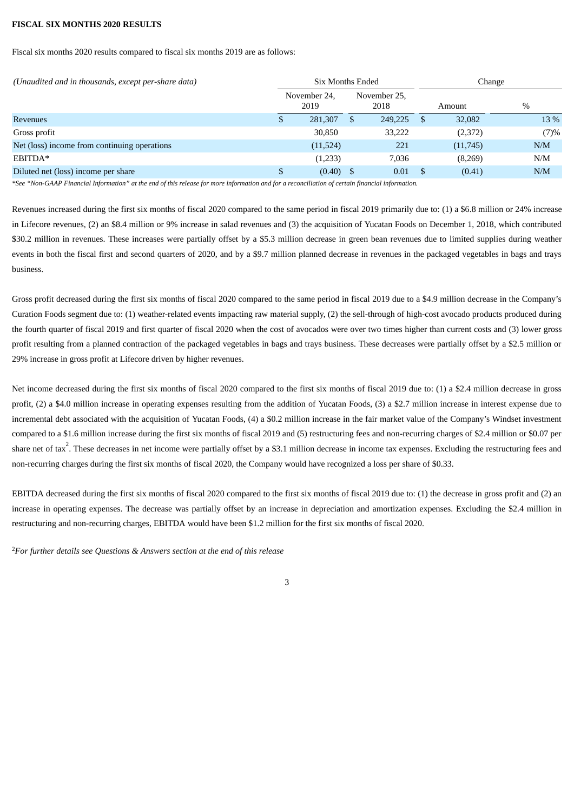## **FISCAL SIX MONTHS 2020 RESULTS**

Fiscal six months 2020 results compared to fiscal six months 2019 are as follows:

| (Unaudited and in thousands, except per-share data) |    | <b>Six Months Ended</b> |                      |         |      | Change   |      |  |  |
|-----------------------------------------------------|----|-------------------------|----------------------|---------|------|----------|------|--|--|
|                                                     |    | November 24,<br>2019    | November 25,<br>2018 |         |      | Amount   | $\%$ |  |  |
| Revenues                                            | \$ | 281,307                 | S                    | 249,225 | - \$ | 32,082   | 13 % |  |  |
| Gross profit                                        |    | 30,850                  |                      | 33,222  |      | (2,372)  | (7)% |  |  |
| Net (loss) income from continuing operations        |    | (11, 524)               |                      | 221     |      | (11,745) | N/M  |  |  |
| EBITDA*                                             |    | (1,233)                 |                      | 7,036   |      | (8,269)  | N/M  |  |  |
| Diluted net (loss) income per share                 | \$ | $(0.40)$ \$             |                      | 0.01    | - \$ | (0.41)   | N/M  |  |  |

\*See "Non-GAAP Financial Information" at the end of this release for more information and for a reconciliation of certain financial information.

Revenues increased during the first six months of fiscal 2020 compared to the same period in fiscal 2019 primarily due to: (1) a \$6.8 million or 24% increase in Lifecore revenues, (2) an \$8.4 million or 9% increase in salad revenues and (3) the acquisition of Yucatan Foods on December 1, 2018, which contributed \$30.2 million in revenues. These increases were partially offset by a \$5.3 million decrease in green bean revenues due to limited supplies during weather events in both the fiscal first and second quarters of 2020, and by a \$9.7 million planned decrease in revenues in the packaged vegetables in bags and trays business.

Gross profit decreased during the first six months of fiscal 2020 compared to the same period in fiscal 2019 due to a \$4.9 million decrease in the Company's Curation Foods segment due to: (1) weather-related events impacting raw material supply, (2) the sell-through of high-cost avocado products produced during the fourth quarter of fiscal 2019 and first quarter of fiscal 2020 when the cost of avocados were over two times higher than current costs and (3) lower gross profit resulting from a planned contraction of the packaged vegetables in bags and trays business. These decreases were partially offset by a \$2.5 million or 29% increase in gross profit at Lifecore driven by higher revenues.

Net income decreased during the first six months of fiscal 2020 compared to the first six months of fiscal 2019 due to: (1) a \$2.4 million decrease in gross profit, (2) a \$4.0 million increase in operating expenses resulting from the addition of Yucatan Foods, (3) a \$2.7 million increase in interest expense due to incremental debt associated with the acquisition of Yucatan Foods, (4) a \$0.2 million increase in the fair market value of the Company's Windset investment compared to a \$1.6 million increase during the first six months of fiscal 2019 and (5) restructuring fees and non-recurring charges of \$2.4 million or \$0.07 per share net of tax<sup>2</sup>. These decreases in net income were partially offset by a \$3.1 million decrease in income tax expenses. Excluding the restructuring fees and non-recurring charges during the first six months of fiscal 2020, the Company would have recognized a loss per share of \$0.33.

EBITDA decreased during the first six months of fiscal 2020 compared to the first six months of fiscal 2019 due to: (1) the decrease in gross profit and (2) an increase in operating expenses. The decrease was partially offset by an increase in depreciation and amortization expenses. Excluding the \$2.4 million in restructuring and non-recurring charges, EBITDA would have been \$1.2 million for the first six months of fiscal 2020.

<sup>2</sup>*For further details see Questions & Answers section at the end of this release*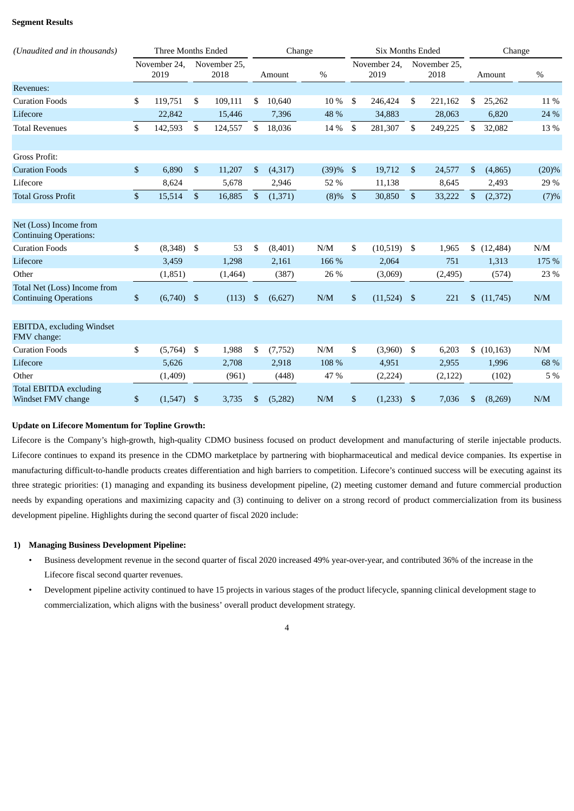# **Segment Results**

| (Unaudited and in thousands)                                 | <b>Three Months Ended</b> |              |                      | Change  |        |          |         | <b>Six Months Ended</b> |               |      |                      | Change |             |                         |  |
|--------------------------------------------------------------|---------------------------|--------------|----------------------|---------|--------|----------|---------|-------------------------|---------------|------|----------------------|--------|-------------|-------------------------|--|
|                                                              | November 24,<br>2019      |              | November 25,<br>2018 |         | Amount |          | $\%$    | November 24,<br>2019    |               |      | November 25,<br>2018 | Amount |             | $\%$                    |  |
| Revenues:                                                    |                           |              |                      |         |        |          |         |                         |               |      |                      |        |             |                         |  |
| <b>Curation Foods</b>                                        | \$                        | 119,751      | \$                   | 109,111 | \$     | 10,640   | 10 %    | \$                      | 246,424       | \$   | 221,162              | \$     | 25,262      | 11 %                    |  |
| Lifecore                                                     |                           | 22,842       |                      | 15,446  |        | 7,396    | 48 %    |                         | 34,883        |      | 28,063               |        | 6,820       | 24 %                    |  |
| <b>Total Revenues</b>                                        | \$                        | 142,593      | \$                   | 124,557 | \$     | 18,036   | 14 %    | \$                      | 281,307       | \$   | 249,225              | \$     | 32,082      | 13 %                    |  |
| <b>Gross Profit:</b>                                         |                           |              |                      |         |        |          |         |                         |               |      |                      |        |             |                         |  |
| <b>Curation Foods</b>                                        | $\mathfrak{S}$            | 6,890        | \$                   | 11,207  | \$     | (4, 317) | (39)%   | -\$                     | 19,712        | \$   | 24,577               | \$     | (4,865)     | (20)%                   |  |
| Lifecore                                                     |                           | 8,624        |                      | 5,678   |        | 2,946    | 52 %    |                         | 11,138        |      | 8,645                |        | 2,493       | 29 %                    |  |
| <b>Total Gross Profit</b>                                    | \$                        | 15,514       | \$                   | 16,885  | \$     | (1, 371) | $(8)\%$ | $\sqrt{3}$              | 30,850        | \$   | 33,222               | \$     | (2,372)     | (7)%                    |  |
| Net (Loss) Income from<br><b>Continuing Operations:</b>      |                           |              |                      |         |        |          |         |                         |               |      |                      |        |             |                         |  |
| <b>Curation Foods</b>                                        | \$                        | (8,348)      | - \$                 | 53      | \$     | (8,401)  | N/M     | \$                      | (10, 519)     | \$   | 1,965                |        | \$(12, 484) | N/M                     |  |
| Lifecore                                                     |                           | 3,459        |                      | 1,298   |        | 2,161    | 166 %   |                         | 2,064         |      | 751                  |        | 1,313       | 175 %                   |  |
| Other                                                        |                           | (1,851)      |                      | (1,464) |        | (387)    | 26 %    |                         | (3,069)       |      | (2, 495)             |        | (574)       | 23 %                    |  |
| Total Net (Loss) Income from<br><b>Continuing Operations</b> | \$                        | $(6,740)$ \$ |                      | (113)   | \$     | (6,627)  | N/M     | $\$$                    | $(11,524)$ \$ |      | 221                  |        | (11,745)    | N/M                     |  |
| EBITDA, excluding Windset<br>FMV change:                     |                           |              |                      |         |        |          |         |                         |               |      |                      |        |             |                         |  |
| <b>Curation Foods</b>                                        | \$                        | (5,764)      | -\$                  | 1,988   | \$     | (7, 752) | N/M     | \$                      | (3,960)       | - \$ | 6,203                |        | \$(10, 163) | $\mathrm{N}/\mathrm{M}$ |  |
| Lifecore                                                     |                           | 5,626        |                      | 2,708   |        | 2,918    | 108 %   |                         | 4,951         |      | 2,955                |        | 1,996       | 68 %                    |  |
| Other                                                        |                           | (1,409)      |                      | (961)   |        | (448)    | 47 %    |                         | (2,224)       |      | (2, 122)             |        | (102)       | 5 %                     |  |
| <b>Total EBITDA excluding</b><br>Windset FMV change          | \$                        | (1,547)      | -\$                  | 3,735   | \$     | (5,282)  | N/M     | \$                      | (1,233)       | \$   | 7,036                | \$     | (8,269)     | $\mathrm{N}/\mathrm{M}$ |  |

# **Update on Lifecore Momentum for Topline Growth:**

Lifecore is the Company's high-growth, high-quality CDMO business focused on product development and manufacturing of sterile injectable products. Lifecore continues to expand its presence in the CDMO marketplace by partnering with biopharmaceutical and medical device companies. Its expertise in manufacturing difficult-to-handle products creates differentiation and high barriers to competition. Lifecore's continued success will be executing against its three strategic priorities: (1) managing and expanding its business development pipeline, (2) meeting customer demand and future commercial production needs by expanding operations and maximizing capacity and (3) continuing to deliver on a strong record of product commercialization from its business development pipeline. Highlights during the second quarter of fiscal 2020 include:

## **1) Managing Business Development Pipeline:**

- Business development revenue in the second quarter of fiscal 2020 increased 49% year-over-year, and contributed 36% of the increase in the Lifecore fiscal second quarter revenues.
- Development pipeline activity continued to have 15 projects in various stages of the product lifecycle, spanning clinical development stage to commercialization, which aligns with the business' overall product development strategy.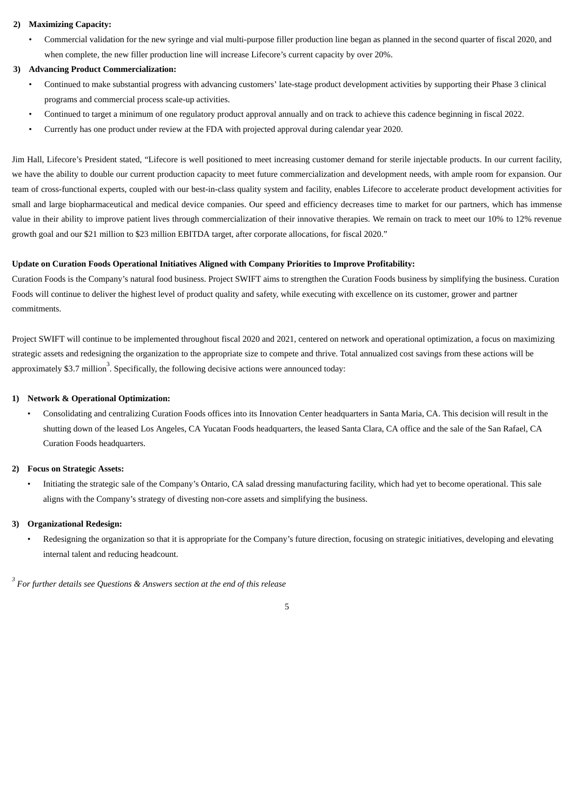### **2) Maximizing Capacity:**

• Commercial validation for the new syringe and vial multi-purpose filler production line began as planned in the second quarter of fiscal 2020, and when complete, the new filler production line will increase Lifecore's current capacity by over 20%.

### **3) Advancing Product Commercialization:**

- Continued to make substantial progress with advancing customers' late-stage product development activities by supporting their Phase 3 clinical programs and commercial process scale-up activities.
- Continued to target a minimum of one regulatory product approval annually and on track to achieve this cadence beginning in fiscal 2022.
- Currently has one product under review at the FDA with projected approval during calendar year 2020.

Jim Hall, Lifecore's President stated, "Lifecore is well positioned to meet increasing customer demand for sterile injectable products. In our current facility, we have the ability to double our current production capacity to meet future commercialization and development needs, with ample room for expansion. Our team of cross-functional experts, coupled with our best-in-class quality system and facility, enables Lifecore to accelerate product development activities for small and large biopharmaceutical and medical device companies. Our speed and efficiency decreases time to market for our partners, which has immense value in their ability to improve patient lives through commercialization of their innovative therapies. We remain on track to meet our 10% to 12% revenue growth goal and our \$21 million to \$23 million EBITDA target, after corporate allocations, for fiscal 2020."

### **Update on Curation Foods Operational Initiatives Aligned with Company Priorities to Improve Profitability:**

Curation Foods is the Company's natural food business. Project SWIFT aims to strengthen the Curation Foods business by simplifying the business. Curation Foods will continue to deliver the highest level of product quality and safety, while executing with excellence on its customer, grower and partner commitments.

Project SWIFT will continue to be implemented throughout fiscal 2020 and 2021, centered on network and operational optimization, a focus on maximizing strategic assets and redesigning the organization to the appropriate size to compete and thrive. Total annualized cost savings from these actions will be approximately \$3.7 million $^3$ . Specifically, the following decisive actions were announced today:

### **1) Network & Operational Optimization:**

• Consolidating and centralizing Curation Foods offices into its Innovation Center headquarters in Santa Maria, CA. This decision will result in the shutting down of the leased Los Angeles, CA Yucatan Foods headquarters, the leased Santa Clara, CA office and the sale of the San Rafael, CA Curation Foods headquarters.

## **2) Focus on Strategic Assets:**

• Initiating the strategic sale of the Company's Ontario, CA salad dressing manufacturing facility, which had yet to become operational. This sale aligns with the Company's strategy of divesting non-core assets and simplifying the business.

### **3) Organizational Redesign:**

• Redesigning the organization so that it is appropriate for the Company's future direction, focusing on strategic initiatives, developing and elevating internal talent and reducing headcount.

*<sup>3</sup> For further details see Questions & Answers section at the end of this release*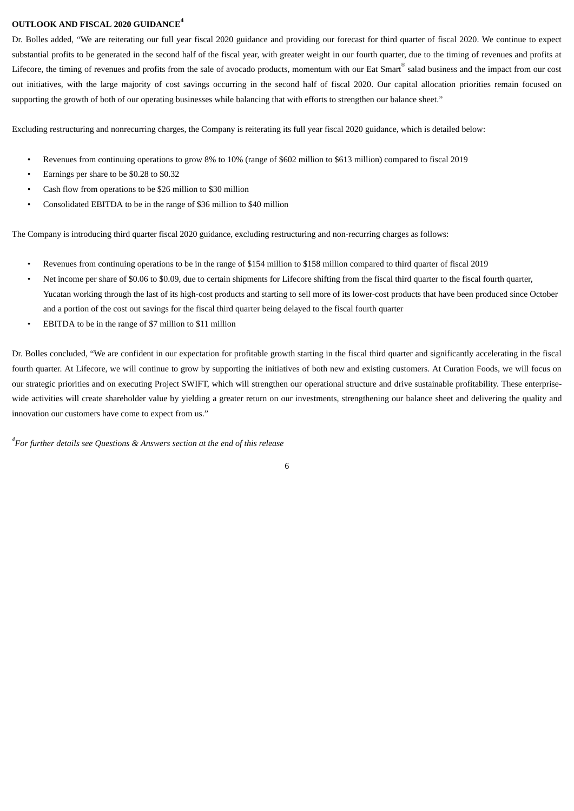# **OUTLOOK AND FISCAL 2020 GUIDANCE 4**

Dr. Bolles added, "We are reiterating our full year fiscal 2020 guidance and providing our forecast for third quarter of fiscal 2020. We continue to expect substantial profits to be generated in the second half of the fiscal year, with greater weight in our fourth quarter, due to the timing of revenues and profits at Lifecore, the timing of revenues and profits from the sale of avocado products, momentum with our Eat Smart ® salad business and the impact from our cost out initiatives, with the large majority of cost savings occurring in the second half of fiscal 2020. Our capital allocation priorities remain focused on supporting the growth of both of our operating businesses while balancing that with efforts to strengthen our balance sheet."

Excluding restructuring and nonrecurring charges, the Company is reiterating its full year fiscal 2020 guidance, which is detailed below:

- Revenues from continuing operations to grow 8% to 10% (range of \$602 million to \$613 million) compared to fiscal 2019
- Earnings per share to be \$0.28 to \$0.32
- Cash flow from operations to be \$26 million to \$30 million
- Consolidated EBITDA to be in the range of \$36 million to \$40 million

The Company is introducing third quarter fiscal 2020 guidance, excluding restructuring and non-recurring charges as follows:

- Revenues from continuing operations to be in the range of \$154 million to \$158 million compared to third quarter of fiscal 2019
- Net income per share of \$0.06 to \$0.09, due to certain shipments for Lifecore shifting from the fiscal third quarter to the fiscal fourth quarter, Yucatan working through the last of its high-cost products and starting to sell more of its lower-cost products that have been produced since October and a portion of the cost out savings for the fiscal third quarter being delayed to the fiscal fourth quarter
- EBITDA to be in the range of \$7 million to \$11 million

Dr. Bolles concluded, "We are confident in our expectation for profitable growth starting in the fiscal third quarter and significantly accelerating in the fiscal fourth quarter. At Lifecore, we will continue to grow by supporting the initiatives of both new and existing customers. At Curation Foods, we will focus on our strategic priorities and on executing Project SWIFT, which will strengthen our operational structure and drive sustainable profitability. These enterprisewide activities will create shareholder value by yielding a greater return on our investments, strengthening our balance sheet and delivering the quality and innovation our customers have come to expect from us."

6

*<sup>4</sup>For further details see Questions & Answers section at the end of this release*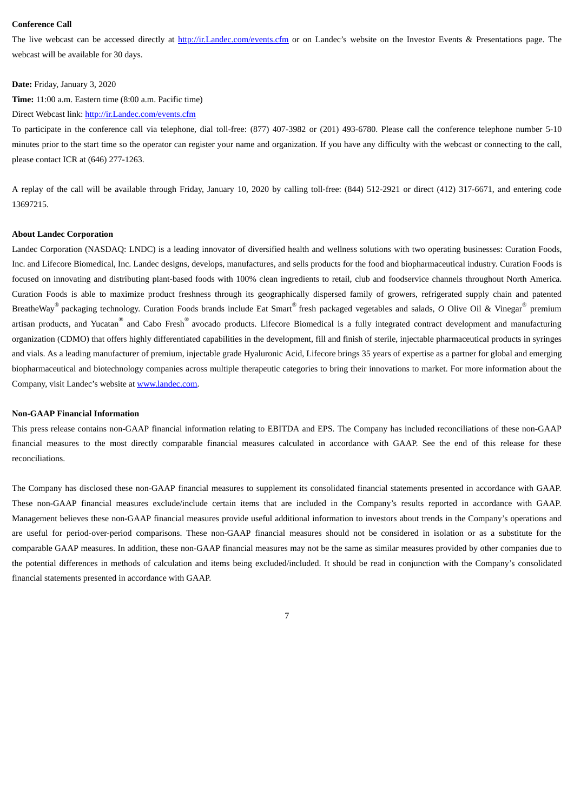#### **Conference Call**

The live webcast can be accessed directly at http://ir.Landec.com/events.cfm or on Landec's website on the Investor Events & Presentations page. The webcast will be available for 30 days.

#### **Date:** Friday, January 3, 2020

**Time:** 11:00 a.m. Eastern time (8:00 a.m. Pacific time)

## Direct Webcast link: http://ir.Landec.com/events.cfm

To participate in the conference call via telephone, dial toll-free: (877) 407-3982 or (201) 493-6780. Please call the conference telephone number 5-10 minutes prior to the start time so the operator can register your name and organization. If you have any difficulty with the webcast or connecting to the call, please contact ICR at (646) 277-1263.

A replay of the call will be available through Friday, January 10, 2020 by calling toll-free: (844) 512-2921 or direct (412) 317-6671, and entering code 13697215.

#### **About Landec Corporation**

Landec Corporation (NASDAQ: LNDC) is a leading innovator of diversified health and wellness solutions with two operating businesses: Curation Foods, Inc. and Lifecore Biomedical, Inc. Landec designs, develops, manufactures, and sells products for the food and biopharmaceutical industry. Curation Foods is focused on innovating and distributing plant-based foods with 100% clean ingredients to retail, club and foodservice channels throughout North America. Curation Foods is able to maximize product freshness through its geographically dispersed family of growers, refrigerated supply chain and patented BreatheWay®packaging technology. Curation Foods brands include Eat Smart®fresh packaged vegetables and salads, *O* Olive Oil & Vinegar®premium artisan products, and Yucatan® and Cabo Fresh® avocado products. Lifecore Biomedical is a fully integrated contract development and manufacturing organization (CDMO) that offers highly differentiated capabilities in the development, fill and finish of sterile, injectable pharmaceutical products in syringes and vials. As a leading manufacturer of premium, injectable grade Hyaluronic Acid, Lifecore brings 35 years of expertise as a partner for global and emerging biopharmaceutical and biotechnology companies across multiple therapeutic categories to bring their innovations to market. For more information about the Company, visit Landec's website at www.landec.com.

#### **Non-GAAP Financial Information**

This press release contains non-GAAP financial information relating to EBITDA and EPS. The Company has included reconciliations of these non-GAAP financial measures to the most directly comparable financial measures calculated in accordance with GAAP. See the end of this release for these reconciliations.

The Company has disclosed these non-GAAP financial measures to supplement its consolidated financial statements presented in accordance with GAAP. These non-GAAP financial measures exclude/include certain items that are included in the Company's results reported in accordance with GAAP. Management believes these non-GAAP financial measures provide useful additional information to investors about trends in the Company's operations and are useful for period-over-period comparisons. These non-GAAP financial measures should not be considered in isolation or as a substitute for the comparable GAAP measures. In addition, these non-GAAP financial measures may not be the same as similar measures provided by other companies due to the potential differences in methods of calculation and items being excluded/included. It should be read in conjunction with the Company's consolidated financial statements presented in accordance with GAAP.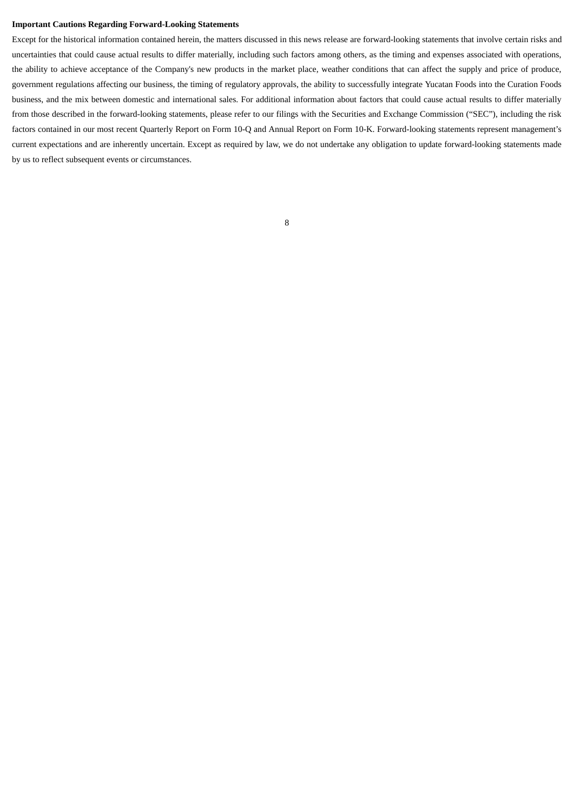### **Important Cautions Regarding Forward-Looking Statements**

Except for the historical information contained herein, the matters discussed in this news release are forward-looking statements that involve certain risks and uncertainties that could cause actual results to differ materially, including such factors among others, as the timing and expenses associated with operations, the ability to achieve acceptance of the Company's new products in the market place, weather conditions that can affect the supply and price of produce, government regulations affecting our business, the timing of regulatory approvals, the ability to successfully integrate Yucatan Foods into the Curation Foods business, and the mix between domestic and international sales. For additional information about factors that could cause actual results to differ materially from those described in the forward-looking statements, please refer to our filings with the Securities and Exchange Commission ("SEC"), including the risk factors contained in our most recent Quarterly Report on Form 10-Q and Annual Report on Form 10-K. Forward-looking statements represent management's current expectations and are inherently uncertain. Except as required by law, we do not undertake any obligation to update forward-looking statements made by us to reflect subsequent events or circumstances.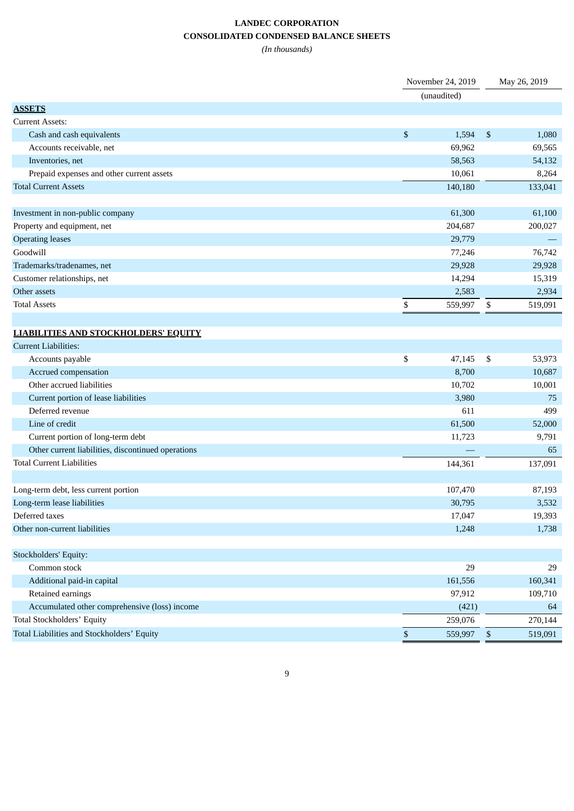# **LANDEC CORPORATION CONSOLIDATED CONDENSED BALANCE SHEETS**

*(In thousands)*

|                                                    | November 24, 2019 | May 26, 2019  |
|----------------------------------------------------|-------------------|---------------|
|                                                    | (unaudited)       |               |
| <b>ASSETS</b>                                      |                   |               |
| <b>Current Assets:</b>                             |                   |               |
| Cash and cash equivalents                          | \$<br>1,594       | \$<br>1,080   |
| Accounts receivable, net                           | 69,962            | 69,565        |
| Inventories, net                                   | 58,563            | 54,132        |
| Prepaid expenses and other current assets          | 10,061            | 8,264         |
| <b>Total Current Assets</b>                        | 140,180           | 133,041       |
|                                                    |                   |               |
| Investment in non-public company                   | 61,300            | 61,100        |
| Property and equipment, net                        | 204,687           | 200,027       |
| <b>Operating leases</b>                            | 29,779            |               |
| Goodwill                                           | 77,246            | 76,742        |
| Trademarks/tradenames, net                         | 29,928            | 29,928        |
| Customer relationships, net                        | 14,294            | 15,319        |
| Other assets                                       | 2,583             | 2,934         |
| <b>Total Assets</b>                                | \$<br>559,997     | \$<br>519,091 |
|                                                    |                   |               |
| <b>LIABILITIES AND STOCKHOLDERS' EQUITY</b>        |                   |               |
| <b>Current Liabilities:</b>                        |                   |               |
| Accounts payable                                   | \$<br>47,145      | \$<br>53,973  |
| Accrued compensation                               | 8,700             | 10,687        |
| Other accrued liabilities                          | 10,702            | 10,001        |
| Current portion of lease liabilities               | 3,980             | 75            |
| Deferred revenue                                   | 611               | 499           |
| Line of credit                                     | 61,500            | 52,000        |
| Current portion of long-term debt                  | 11,723            | 9,791         |
| Other current liabilities, discontinued operations |                   | 65            |
| <b>Total Current Liabilities</b>                   | 144,361           | 137,091       |
|                                                    |                   |               |
| Long-term debt, less current portion               | 107,470           | 87,193        |
| Long-term lease liabilities                        | 30,795            | 3,532         |
| Deferred taxes                                     | 17,047            | 19,393        |
| Other non-current liabilities                      | 1,248             | 1,738         |
|                                                    |                   |               |
| Stockholders' Equity:                              |                   |               |
| Common stock                                       | 29                | 29            |
| Additional paid-in capital                         | 161,556           | 160,341       |
| Retained earnings                                  | 97,912            | 109,710       |
| Accumulated other comprehensive (loss) income      | (421)             | 64            |
| <b>Total Stockholders' Equity</b>                  | 259,076           | 270,144       |
| Total Liabilities and Stockholders' Equity         | $\$$<br>559,997   | \$<br>519,091 |
|                                                    |                   |               |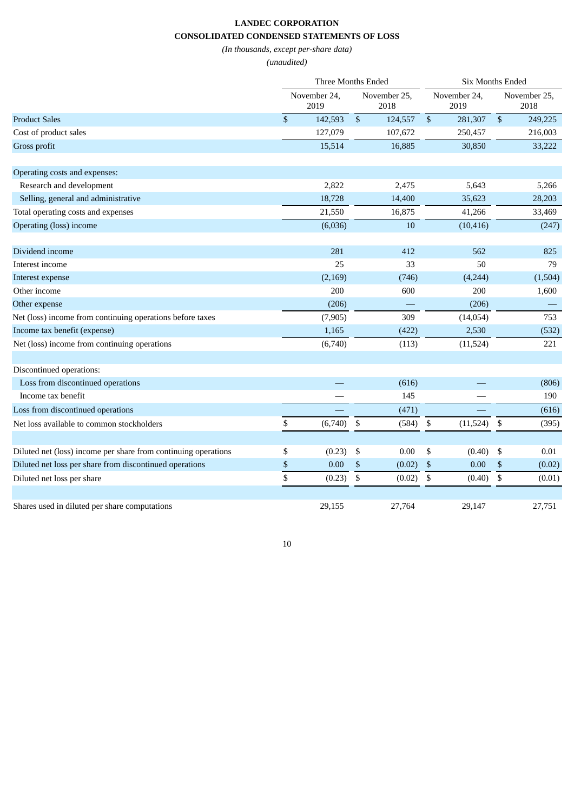# **LANDEC CORPORATION CONSOLIDATED CONDENSED STATEMENTS OF LOSS**

*(In thousands, except per-share data)*

*(unaudited)*

|                                                                | <b>Three Months Ended</b> |                      |    |                      | Six Months Ended     |           |                      |         |  |
|----------------------------------------------------------------|---------------------------|----------------------|----|----------------------|----------------------|-----------|----------------------|---------|--|
|                                                                |                           | November 24,<br>2019 |    | November 25,<br>2018 | November 24,<br>2019 |           | November 25,<br>2018 |         |  |
| <b>Product Sales</b>                                           | \$                        | 142,593              | \$ | 124,557              | $\mathfrak{S}$       | 281,307   | $\mathfrak{s}$       | 249,225 |  |
| Cost of product sales                                          |                           | 127,079              |    | 107,672              |                      | 250,457   |                      | 216,003 |  |
| Gross profit                                                   |                           | 15,514               |    | 16,885               |                      | 30,850    |                      | 33,222  |  |
| Operating costs and expenses:                                  |                           |                      |    |                      |                      |           |                      |         |  |
| Research and development                                       |                           | 2,822                |    | 2,475                |                      | 5,643     |                      | 5,266   |  |
| Selling, general and administrative                            |                           | 18,728               |    | 14,400               |                      | 35,623    |                      | 28,203  |  |
| Total operating costs and expenses                             |                           | 21,550               |    | 16,875               |                      | 41,266    |                      | 33,469  |  |
| Operating (loss) income                                        |                           | (6,036)              |    | 10                   |                      | (10, 416) |                      | (247)   |  |
| Dividend income                                                |                           | 281                  |    | 412                  |                      | 562       |                      | 825     |  |
| Interest income                                                |                           | 25                   |    | 33                   |                      | 50        |                      | 79      |  |
| Interest expense                                               |                           | (2, 169)             |    | (746)                |                      | (4,244)   |                      | (1,504) |  |
| Other income                                                   |                           | 200                  |    | 600                  |                      | 200       |                      | 1,600   |  |
| Other expense                                                  |                           | (206)                |    |                      |                      | (206)     |                      |         |  |
| Net (loss) income from continuing operations before taxes      |                           | (7, 905)             |    | 309                  |                      | (14, 054) |                      | 753     |  |
| Income tax benefit (expense)                                   |                           | 1,165                |    | (422)                |                      | 2,530     |                      | (532)   |  |
| Net (loss) income from continuing operations                   |                           | (6,740)              |    | (113)                |                      | (11,524)  |                      | 221     |  |
| Discontinued operations:                                       |                           |                      |    |                      |                      |           |                      |         |  |
| Loss from discontinued operations                              |                           |                      |    | (616)                |                      |           |                      | (806)   |  |
| Income tax benefit                                             |                           |                      |    | 145                  |                      |           |                      | 190     |  |
| Loss from discontinued operations                              |                           |                      |    | (471)                |                      |           |                      | (616)   |  |
| Net loss available to common stockholders                      | \$                        | (6,740)              | \$ | (584)                | \$                   | (11, 524) | \$                   | (395)   |  |
| Diluted net (loss) income per share from continuing operations | \$                        | (0.23)               | \$ | 0.00                 | \$                   | (0.40)    | \$                   | 0.01    |  |
| Diluted net loss per share from discontinued operations        | \$                        | 0.00                 | \$ | (0.02)               | \$                   | 0.00      | \$                   | (0.02)  |  |
| Diluted net loss per share                                     | \$                        | (0.23)               | \$ | (0.02)               | \$                   | (0.40)    | \$                   | (0.01)  |  |
| Shares used in diluted per share computations                  |                           | 29,155               |    | 27,764               |                      | 29,147    |                      | 27,751  |  |
|                                                                |                           |                      |    |                      |                      |           |                      |         |  |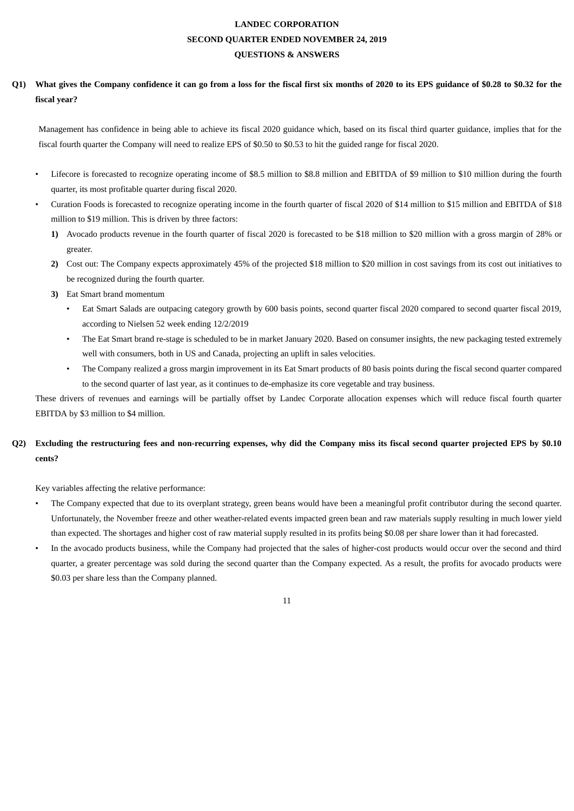# **LANDEC CORPORATION SECOND QUARTER ENDED NOVEMBER 24, 2019 QUESTIONS & ANSWERS**

# Q1) What gives the Company confidence it can go from a loss for the fiscal first six months of 2020 to its EPS guidance of \$0.28 to \$0.32 for the **fiscal year?**

Management has confidence in being able to achieve its fiscal 2020 guidance which, based on its fiscal third quarter guidance, implies that for the fiscal fourth quarter the Company will need to realize EPS of \$0.50 to \$0.53 to hit the guided range for fiscal 2020.

- Lifecore is forecasted to recognize operating income of \$8.5 million to \$8.8 million and EBITDA of \$9 million to \$10 million during the fourth quarter, its most profitable quarter during fiscal 2020.
- Curation Foods is forecasted to recognize operating income in the fourth quarter of fiscal 2020 of \$14 million to \$15 million and EBITDA of \$18 million to \$19 million. This is driven by three factors:
	- **1)** Avocado products revenue in the fourth quarter of fiscal 2020 is forecasted to be \$18 million to \$20 million with a gross margin of 28% or greater.
	- **2)** Cost out: The Company expects approximately 45% of the projected \$18 million to \$20 million in cost savings from its cost out initiatives to be recognized during the fourth quarter.
	- **3)** Eat Smart brand momentum
		- Eat Smart Salads are outpacing category growth by 600 basis points, second quarter fiscal 2020 compared to second quarter fiscal 2019, according to Nielsen 52 week ending 12/2/2019
		- The Eat Smart brand re-stage is scheduled to be in market January 2020. Based on consumer insights, the new packaging tested extremely well with consumers, both in US and Canada, projecting an uplift in sales velocities.
		- The Company realized a gross margin improvement in its Eat Smart products of 80 basis points during the fiscal second quarter compared to the second quarter of last year, as it continues to de-emphasize its core vegetable and tray business.

These drivers of revenues and earnings will be partially offset by Landec Corporate allocation expenses which will reduce fiscal fourth quarter EBITDA by \$3 million to \$4 million.

# O2) Excluding the restructuring fees and non-recurring expenses, why did the Company miss its fiscal second quarter projected EPS by \$0.10 **cents?**

Key variables affecting the relative performance:

- The Company expected that due to its overplant strategy, green beans would have been a meaningful profit contributor during the second quarter. Unfortunately, the November freeze and other weather-related events impacted green bean and raw materials supply resulting in much lower yield than expected. The shortages and higher cost of raw material supply resulted in its profits being \$0.08 per share lower than it had forecasted.
- In the avocado products business, while the Company had projected that the sales of higher-cost products would occur over the second and third quarter, a greater percentage was sold during the second quarter than the Company expected. As a result, the profits for avocado products were \$0.03 per share less than the Company planned.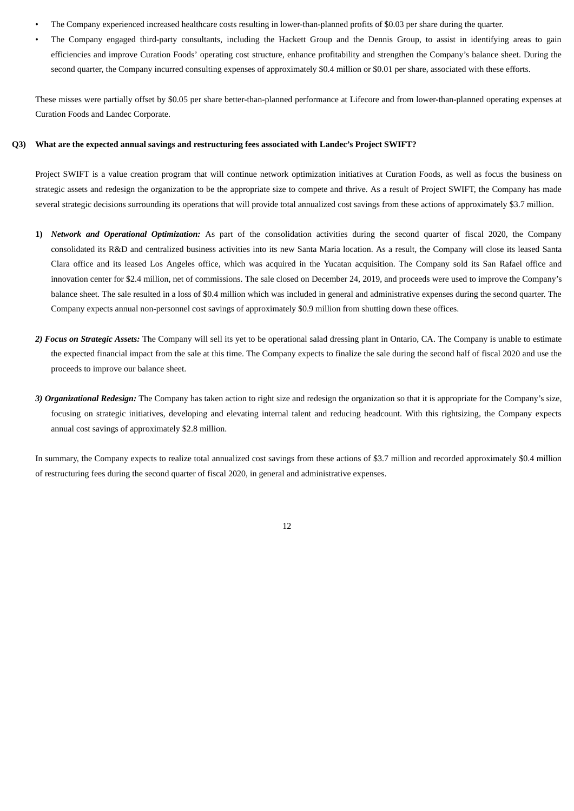- The Company experienced increased healthcare costs resulting in lower-than-planned profits of \$0.03 per share during the quarter.
- The Company engaged third-party consultants, including the Hackett Group and the Dennis Group, to assist in identifying areas to gain efficiencies and improve Curation Foods' operating cost structure, enhance profitability and strengthen the Company's balance sheet. During the second quarter, the Company incurred consulting expenses of approximately \$0.4 million or \$0.01 per share, associated with these efforts.

These misses were partially offset by \$0.05 per share better-than-planned performance at Lifecore and from lower-than-planned operating expenses at Curation Foods and Landec Corporate.

### **Q3) What are the expected annual savings and restructuring fees associated with Landec's Project SWIFT?**

Project SWIFT is a value creation program that will continue network optimization initiatives at Curation Foods, as well as focus the business on strategic assets and redesign the organization to be the appropriate size to compete and thrive. As a result of Project SWIFT, the Company has made several strategic decisions surrounding its operations that will provide total annualized cost savings from these actions of approximately \$3.7 million.

- **1)** *Network and Operational Optimization:* As part of the consolidation activities during the second quarter of fiscal 2020, the Company consolidated its R&D and centralized business activities into its new Santa Maria location. As a result, the Company will close its leased Santa Clara office and its leased Los Angeles office, which was acquired in the Yucatan acquisition. The Company sold its San Rafael office and innovation center for \$2.4 million, net of commissions. The sale closed on December 24, 2019, and proceeds were used to improve the Company's balance sheet. The sale resulted in a loss of \$0.4 million which was included in general and administrative expenses during the second quarter. The Company expects annual non-personnel cost savings of approximately \$0.9 million from shutting down these offices.
- *2) Focus on Strategic Assets:* The Company will sell its yet to be operational salad dressing plant in Ontario, CA. The Company is unable to estimate the expected financial impact from the sale at this time. The Company expects to finalize the sale during the second half of fiscal 2020 and use the proceeds to improve our balance sheet.
- *3) Organizational Redesign:* The Company has taken action to right size and redesign the organization so that it is appropriate for the Company's size, focusing on strategic initiatives, developing and elevating internal talent and reducing headcount. With this rightsizing, the Company expects annual cost savings of approximately \$2.8 million.

In summary, the Company expects to realize total annualized cost savings from these actions of \$3.7 million and recorded approximately \$0.4 million of restructuring fees during the second quarter of fiscal 2020, in general and administrative expenses.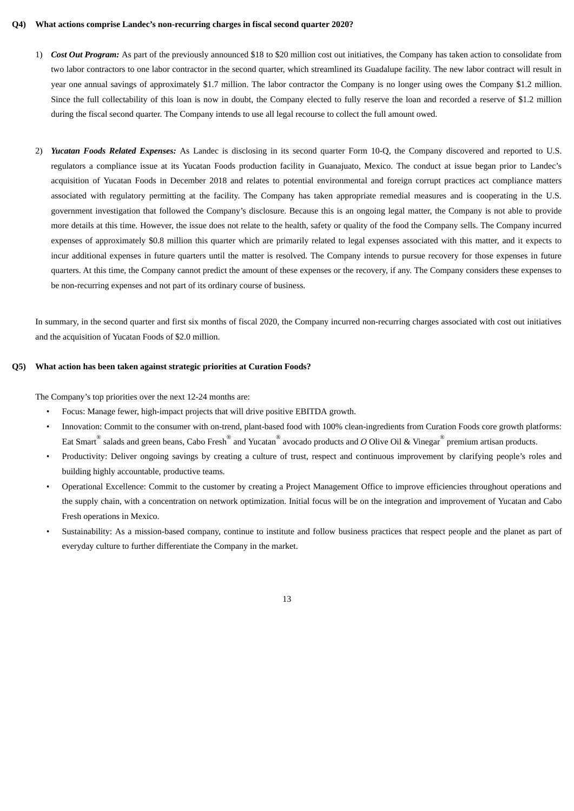#### **Q4) What actions comprise Landec's non-recurring charges in fiscal second quarter 2020?**

- 1) *Cost Out Program:* As part of the previously announced \$18 to \$20 million cost out initiatives, the Company has taken action to consolidate from two labor contractors to one labor contractor in the second quarter, which streamlined its Guadalupe facility. The new labor contract will result in year one annual savings of approximately \$1.7 million. The labor contractor the Company is no longer using owes the Company \$1.2 million. Since the full collectability of this loan is now in doubt, the Company elected to fully reserve the loan and recorded a reserve of \$1.2 million during the fiscal second quarter. The Company intends to use all legal recourse to collect the full amount owed.
- 2) *Yucatan Foods Related Expenses:* As Landec is disclosing in its second quarter Form 10-Q, the Company discovered and reported to U.S. regulators a compliance issue at its Yucatan Foods production facility in Guanajuato, Mexico. The conduct at issue began prior to Landec's acquisition of Yucatan Foods in December 2018 and relates to potential environmental and foreign corrupt practices act compliance matters associated with regulatory permitting at the facility. The Company has taken appropriate remedial measures and is cooperating in the U.S. government investigation that followed the Company's disclosure. Because this is an ongoing legal matter, the Company is not able to provide more details at this time. However, the issue does not relate to the health, safety or quality of the food the Company sells. The Company incurred expenses of approximately \$0.8 million this quarter which are primarily related to legal expenses associated with this matter, and it expects to incur additional expenses in future quarters until the matter is resolved. The Company intends to pursue recovery for those expenses in future quarters. At this time, the Company cannot predict the amount of these expenses or the recovery, if any. The Company considers these expenses to be non-recurring expenses and not part of its ordinary course of business.

In summary, in the second quarter and first six months of fiscal 2020, the Company incurred non-recurring charges associated with cost out initiatives and the acquisition of Yucatan Foods of \$2.0 million.

#### **Q5) What action has been taken against strategic priorities at Curation Foods?**

The Company's top priorities over the next 12-24 months are:

- Focus: Manage fewer, high-impact projects that will drive positive EBITDA growth.
- Innovation: Commit to the consumer with on-trend, plant-based food with 100% clean-ingredients from Curation Foods core growth platforms: Eat Smart<sup>®</sup> salads and green beans, Cabo Fresh<sup>®</sup> and Yucatan<sup>®</sup> avocado products and *O* Olive Oil & Vinegar® premium artisan products.
- Productivity: Deliver ongoing savings by creating a culture of trust, respect and continuous improvement by clarifying people's roles and building highly accountable, productive teams.
- Operational Excellence: Commit to the customer by creating a Project Management Office to improve efficiencies throughout operations and the supply chain, with a concentration on network optimization. Initial focus will be on the integration and improvement of Yucatan and Cabo Fresh operations in Mexico.
- Sustainability: As a mission-based company, continue to institute and follow business practices that respect people and the planet as part of everyday culture to further differentiate the Company in the market.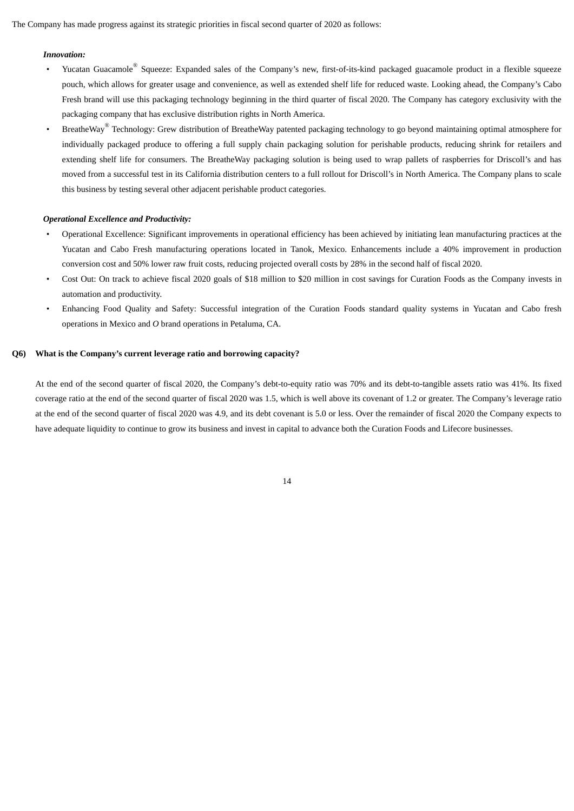### *Innovation:*

- Yucatan Guacamole<sup>®</sup> Squeeze: Expanded sales of the Company's new, first-of-its-kind packaged guacamole product in a flexible squeeze pouch, which allows for greater usage and convenience, as well as extended shelf life for reduced waste. Looking ahead, the Company's Cabo Fresh brand will use this packaging technology beginning in the third quarter of fiscal 2020. The Company has category exclusivity with the packaging company that has exclusive distribution rights in North America.
- BreatheWay<sup>®</sup> Technology: Grew distribution of BreatheWay patented packaging technology to go beyond maintaining optimal atmosphere for individually packaged produce to offering a full supply chain packaging solution for perishable products, reducing shrink for retailers and extending shelf life for consumers. The BreatheWay packaging solution is being used to wrap pallets of raspberries for Driscoll's and has moved from a successful test in its California distribution centers to a full rollout for Driscoll's in North America. The Company plans to scale this business by testing several other adjacent perishable product categories.

### *Operational Excellence and Productivity:*

- Operational Excellence: Significant improvements in operational efficiency has been achieved by initiating lean manufacturing practices at the Yucatan and Cabo Fresh manufacturing operations located in Tanok, Mexico. Enhancements include a 40% improvement in production conversion cost and 50% lower raw fruit costs, reducing projected overall costs by 28% in the second half of fiscal 2020.
- Cost Out: On track to achieve fiscal 2020 goals of \$18 million to \$20 million in cost savings for Curation Foods as the Company invests in automation and productivity.
- Enhancing Food Quality and Safety: Successful integration of the Curation Foods standard quality systems in Yucatan and Cabo fresh operations in Mexico and *O* brand operations in Petaluma, CA.

## **Q6) What is the Company's current leverage ratio and borrowing capacity?**

At the end of the second quarter of fiscal 2020, the Company's debt-to-equity ratio was 70% and its debt-to-tangible assets ratio was 41%. Its fixed coverage ratio at the end of the second quarter of fiscal 2020 was 1.5, which is well above its covenant of 1.2 or greater. The Company's leverage ratio at the end of the second quarter of fiscal 2020 was 4.9, and its debt covenant is 5.0 or less. Over the remainder of fiscal 2020 the Company expects to have adequate liquidity to continue to grow its business and invest in capital to advance both the Curation Foods and Lifecore businesses.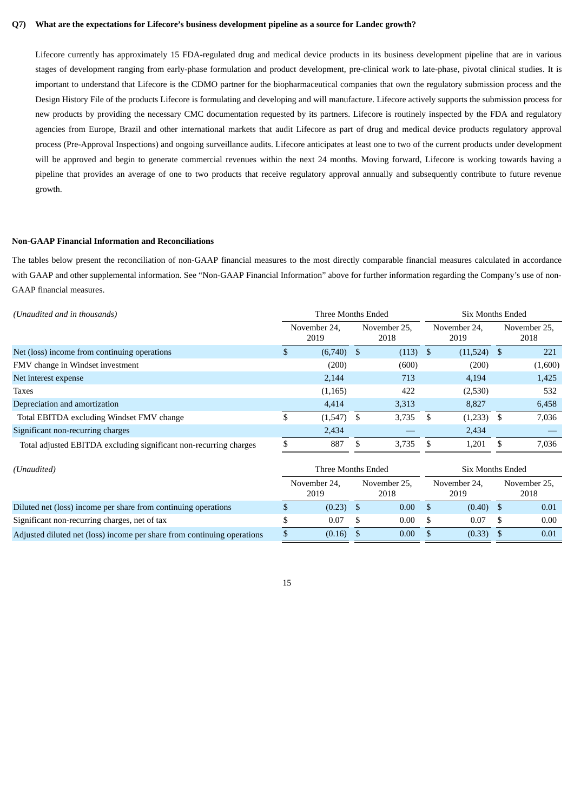### **Q7) What are the expectations for Lifecore's business development pipeline as a source for Landec growth?**

Lifecore currently has approximately 15 FDA-regulated drug and medical device products in its business development pipeline that are in various stages of development ranging from early-phase formulation and product development, pre-clinical work to late-phase, pivotal clinical studies. It is important to understand that Lifecore is the CDMO partner for the biopharmaceutical companies that own the regulatory submission process and the Design History File of the products Lifecore is formulating and developing and will manufacture. Lifecore actively supports the submission process for new products by providing the necessary CMC documentation requested by its partners. Lifecore is routinely inspected by the FDA and regulatory agencies from Europe, Brazil and other international markets that audit Lifecore as part of drug and medical device products regulatory approval process (Pre-Approval Inspections) and ongoing surveillance audits. Lifecore anticipates at least one to two of the current products under development will be approved and begin to generate commercial revenues within the next 24 months. Moving forward, Lifecore is working towards having a pipeline that provides an average of one to two products that receive regulatory approval annually and subsequently contribute to future revenue growth.

### **Non-GAAP Financial Information and Reconciliations**

The tables below present the reconciliation of non-GAAP financial measures to the most directly comparable financial measures calculated in accordance with GAAP and other supplemental information. See "Non-GAAP Financial Information" above for further information regarding the Company's use of non-GAAP financial measures.

| (Unaudited and in thousands)                                      |   | Three Months Ended   |    |                      | <b>Six Months Ended</b> |                      |                      |         |  |
|-------------------------------------------------------------------|---|----------------------|----|----------------------|-------------------------|----------------------|----------------------|---------|--|
|                                                                   |   | November 24.<br>2019 |    | November 25.<br>2018 |                         | November 24.<br>2019 | November 25.<br>2018 |         |  |
| Net (loss) income from continuing operations                      |   | (6,740)              | -S | $(113)$ \$           |                         | $(11,524)$ \$        |                      | 221     |  |
| FMV change in Windset investment                                  |   | (200)                |    | (600)                |                         | (200)                |                      | (1,600) |  |
| Net interest expense                                              |   | 2.144                |    | 713                  |                         | 4,194                |                      | 1,425   |  |
| <b>Taxes</b>                                                      |   | (1, 165)             |    | 422                  |                         | (2,530)              |                      | 532     |  |
| Depreciation and amortization                                     |   | 4,414                |    | 3,313                |                         | 8,827                |                      | 6,458   |  |
| Total EBITDA excluding Windset FMV change                         | S | $(1,547)$ \$         |    | 3,735                | -S                      | $(1,233)$ \$         |                      | 7,036   |  |
| Significant non-recurring charges                                 |   | 2,434                |    |                      |                         | 2,434                |                      |         |  |
| Total adjusted EBITDA excluding significant non-recurring charges |   | 887                  | S. | 3,735                | - \$                    | 1,201                | .S                   | 7,036   |  |
|                                                                   |   |                      |    |                      |                         |                      |                      |         |  |

| (Unaudited)                                                             |                                              | Three Months Ended |      | Six Months Ended     |                      |  |      |
|-------------------------------------------------------------------------|----------------------------------------------|--------------------|------|----------------------|----------------------|--|------|
|                                                                         | November 25,<br>November 24,<br>2019<br>2018 |                    |      | November 24,<br>2019 | November 25,<br>2018 |  |      |
| Diluted net (loss) income per share from continuing operations          |                                              | (0.23)             | 0.00 |                      | (0.40)               |  | 0.01 |
| Significant non-recurring charges, net of tax                           |                                              | 0.07               | 0.00 |                      | 0.07                 |  | 0.00 |
| Adjusted diluted net (loss) income per share from continuing operations |                                              | (0.16)             | 0.00 |                      | (0.33)               |  | 0.01 |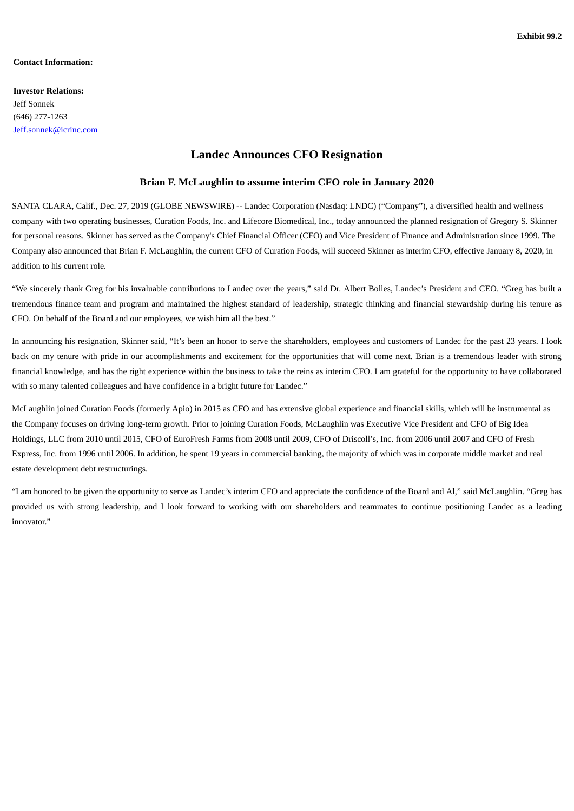### <span id="page-19-0"></span>**Contact Information:**

**Investor Relations:** Jeff Sonnek (646) 277-1263 Jeff.sonnek@icrinc.com

# **Landec Announces CFO Resignation**

# **Brian F. McLaughlin to assume interim CFO role in January 2020**

SANTA CLARA, Calif., Dec. 27, 2019 (GLOBE NEWSWIRE) -- Landec Corporation (Nasdaq: LNDC) ("Company"), a diversified health and wellness company with two operating businesses, Curation Foods, Inc. and Lifecore Biomedical, Inc., today announced the planned resignation of Gregory S. Skinner for personal reasons. Skinner has served as the Company's Chief Financial Officer (CFO) and Vice President of Finance and Administration since 1999. The Company also announced that Brian F. McLaughlin, the current CFO of Curation Foods, will succeed Skinner as interim CFO, effective January 8, 2020, in addition to his current role.

"We sincerely thank Greg for his invaluable contributions to Landec over the years," said Dr. Albert Bolles, Landec's President and CEO. "Greg has built a tremendous finance team and program and maintained the highest standard of leadership, strategic thinking and financial stewardship during his tenure as CFO. On behalf of the Board and our employees, we wish him all the best."

In announcing his resignation, Skinner said, "It's been an honor to serve the shareholders, employees and customers of Landec for the past 23 years. I look back on my tenure with pride in our accomplishments and excitement for the opportunities that will come next. Brian is a tremendous leader with strong financial knowledge, and has the right experience within the business to take the reins as interim CFO. I am grateful for the opportunity to have collaborated with so many talented colleagues and have confidence in a bright future for Landec."

McLaughlin joined Curation Foods (formerly Apio) in 2015 as CFO and has extensive global experience and financial skills, which will be instrumental as the Company focuses on driving long-term growth. Prior to joining Curation Foods, McLaughlin was Executive Vice President and CFO of Big Idea Holdings, LLC from 2010 until 2015, CFO of EuroFresh Farms from 2008 until 2009, CFO of Driscoll's, Inc. from 2006 until 2007 and CFO of Fresh Express, Inc. from 1996 until 2006. In addition, he spent 19 years in commercial banking, the majority of which was in corporate middle market and real estate development debt restructurings.

"I am honored to be given the opportunity to serve as Landec's interim CFO and appreciate the confidence of the Board and Al," said McLaughlin. "Greg has provided us with strong leadership, and I look forward to working with our shareholders and teammates to continue positioning Landec as a leading innovator."